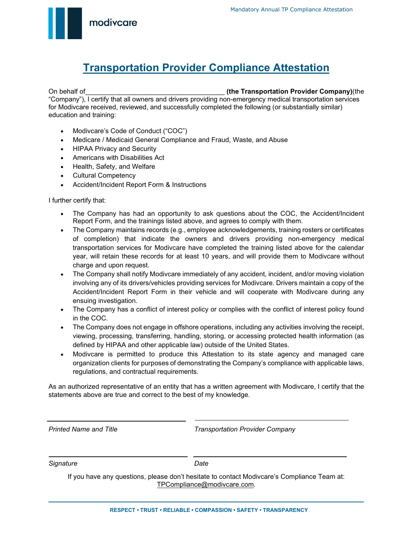modivcare

## **Transportation Provider Compliance Attestation**

On behalf of \_\_\_\_\_\_\_\_ \_\_\_\_\_\_\_\_\_\_\_\_\_\_\_\_\_\_\_\_\_\_\_\_\_\_\_\_\_ **(the Transportation Provider Company)**(the "Company"), I certify that all owners and drivers providing non-emergency medical transportation services for Modivcare received, reviewed, and successfully completed the following (or substantially similar) education and training:

- Modivcare's Code of Conduct ("COC")
- Medicare / Medicaid General Compliance and Fraud, Waste, and Abuse
- HIPAA Privacy and Security
- Americans with Disabilities Act
- Health, Safety, and Welfare
- Cultural Competency
- Accident/Incident Report Form & Instructions

I further certify that:

i<br>L

- The Company has had an opportunity to ask questions about the COC, the Accident/Incident Report Form, and the trainings listed above, and agrees to comply with them.
- The Company maintains records (e.g., employee acknowledgements, training rosters or certificates of completion) that indicate the owners and drivers providing non-emergency medical transportation services for Modivcare have completed the training listed above for the calendar year, will retain these records for at least 10 years, and will provide them to Modivcare without charge and upon request.
- The Company shall notify Modivcare immediately of any accident, incident, and/or moving violation involving any of its drivers/vehicles providing services for Modivcare. Drivers maintain a copy of the Accident/Incident Report Form in their vehicle and will cooperate with Modivcare during any ensuing investigation.
- The Company has a conflict of interest policy or complies with the conflict of interest policy found in the COC.
- The Company does not engage in offshore operations, including any activities involving the receipt, viewing, processing, transferring, handling, storing, or accessing protected health information (as defined by HIPAA and other applicable law) outside of the United States.
- Modivcare is permitted to produce this Attestation to its state agency and managed care organization clients for purposes of demonstrating the Company's compliance with applicable laws, regulations, and contractual requirements.

As an authorized representative of an entity that has a written agreement with Modivcare, I certify that the statements above are true and correct to the best of my knowledge.

*Printed Name and Title* Transportation *Provider Company Transportation Provider Company* 

**Signature** Date **Date** 

If you have any questions, please don't hesitate to contact Modivcare's Compliance Team at: [TPCompliance@modivcare.com](mailto:TPCompliance@modivcare.com)[.](mailto:TPcompliance@modivcare.com)